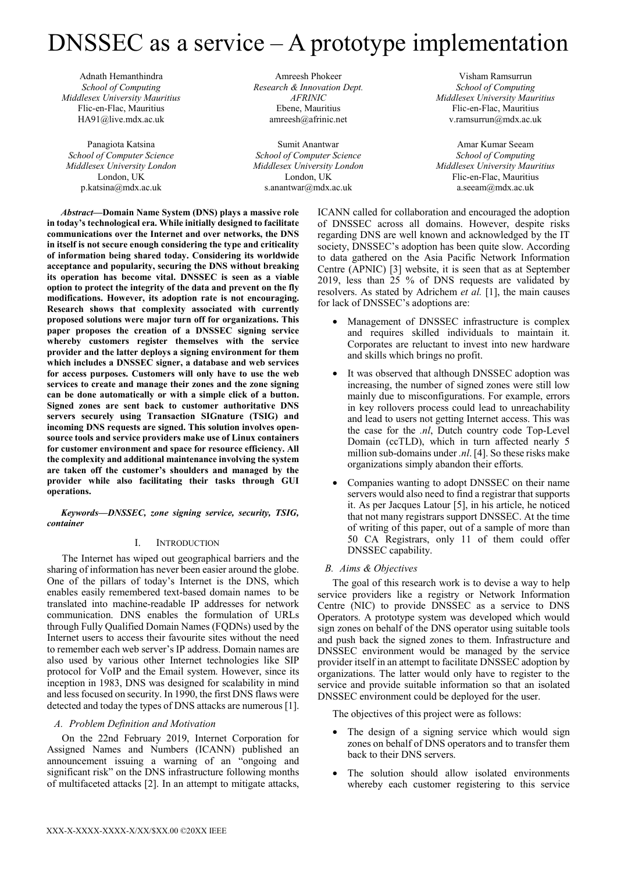# DNSSEC as a service – A prototype implementation

Adnath Hemanthindra *School of Computing Middlesex University Mauritius*  Flic-en-Flac, Mauritius HA91@live.mdx.ac.uk

Panagiota Katsina *School of Computer Science Middlesex University London*  London, UK p.katsina@mdx.ac.uk

Amreesh Phokeer *Research & Innovation Dept. AFRINIC*  Ebene, Mauritius amreesh@afrinic.net

Sumit Anantwar *School of Computer Science Middlesex University London*  London, UK s.anantwar@mdx.ac.uk

Visham Ramsurrun *School of Computing Middlesex University Mauritius*  Flic-en-Flac, Mauritius v.ramsurrun@mdx.ac.uk

Amar Kumar Seeam *School of Computing Middlesex University Mauritius*  Flic-en-Flac, Mauritius a.seeam@mdx.ac.uk

*Abstract***—Domain Name System (DNS) plays a massive role in today's technological era. While initially designed to facilitate communications over the Internet and over networks, the DNS in itself is not secure enough considering the type and criticality of information being shared today. Considering its worldwide acceptance and popularity, securing the DNS without breaking its operation has become vital. DNSSEC is seen as a viable option to protect the integrity of the data and prevent on the fly modifications. However, its adoption rate is not encouraging. Research shows that complexity associated with currently proposed solutions were major turn off for organizations. This paper proposes the creation of a DNSSEC signing service whereby customers register themselves with the service provider and the latter deploys a signing environment for them which includes a DNSSEC signer, a database and web services for access purposes. Customers will only have to use the web services to create and manage their zones and the zone signing can be done automatically or with a simple click of a button. Signed zones are sent back to customer authoritative DNS servers securely using Transaction SIGnature (TSIG) and incoming DNS requests are signed. This solution involves opensource tools and service providers make use of Linux containers for customer environment and space for resource efficiency. All the complexity and additional maintenance involving the system are taken off the customer's shoulders and managed by the provider while also facilitating their tasks through GUI operations.**

*Keywords—DNSSEC, zone signing service, security, TSIG, container* 

# I. INTRODUCTION

The Internet has wiped out geographical barriers and the sharing of information has never been easier around the globe. One of the pillars of today's Internet is the DNS, which enables easily remembered text-based domain names to be translated into machine-readable IP addresses for network communication. DNS enables the formulation of URLs through Fully Qualified Domain Names (FQDNs) used by the Internet users to access their favourite sites without the need to remember each web server's IP address. Domain names are also used by various other Internet technologies like SIP protocol for VoIP and the Email system. However, since its inception in 1983, DNS was designed for scalability in mind and less focused on security. In 1990, the first DNS flaws were detected and today the types of DNS attacks are numerous [1].

# *A. Problem Definition and Motivation*

On the 22nd February 2019, Internet Corporation for Assigned Names and Numbers (ICANN) published an announcement issuing a warning of an "ongoing and significant risk" on the DNS infrastructure following months of multifaceted attacks [2]. In an attempt to mitigate attacks,

ICANN called for collaboration and encouraged the adoption of DNSSEC across all domains. However, despite risks regarding DNS are well known and acknowledged by the IT society, DNSSEC's adoption has been quite slow. According to data gathered on the Asia Pacific Network Information Centre (APNIC) [3] website, it is seen that as at September 2019, less than 25 % of DNS requests are validated by resolvers. As stated by Adrichem *et al.* [1], the main causes for lack of DNSSEC's adoptions are:

- Management of DNSSEC infrastructure is complex and requires skilled individuals to maintain it. Corporates are reluctant to invest into new hardware and skills which brings no profit.
- It was observed that although DNSSEC adoption was increasing, the number of signed zones were still low mainly due to misconfigurations. For example, errors in key rollovers process could lead to unreachability and lead to users not getting Internet access. This was the case for the *.nl*, Dutch country code Top-Level Domain (ccTLD), which in turn affected nearly 5 million sub-domains under *.nl*. [4]. So these risks make organizations simply abandon their efforts.
- Companies wanting to adopt DNSSEC on their name servers would also need to find a registrar that supports it. As per Jacques Latour [5], in his article, he noticed that not many registrars support DNSSEC. At the time of writing of this paper, out of a sample of more than 50 CA Registrars, only 11 of them could offer DNSSEC capability.

# *B. Aims & Objectives*

The goal of this research work is to devise a way to help service providers like a registry or Network Information Centre (NIC) to provide DNSSEC as a service to DNS Operators. A prototype system was developed which would sign zones on behalf of the DNS operator using suitable tools and push back the signed zones to them. Infrastructure and DNSSEC environment would be managed by the service provider itself in an attempt to facilitate DNSSEC adoption by organizations. The latter would only have to register to the service and provide suitable information so that an isolated DNSSEC environment could be deployed for the user.

The objectives of this project were as follows:

- The design of a signing service which would sign zones on behalf of DNS operators and to transfer them back to their DNS servers.
- The solution should allow isolated environments whereby each customer registering to this service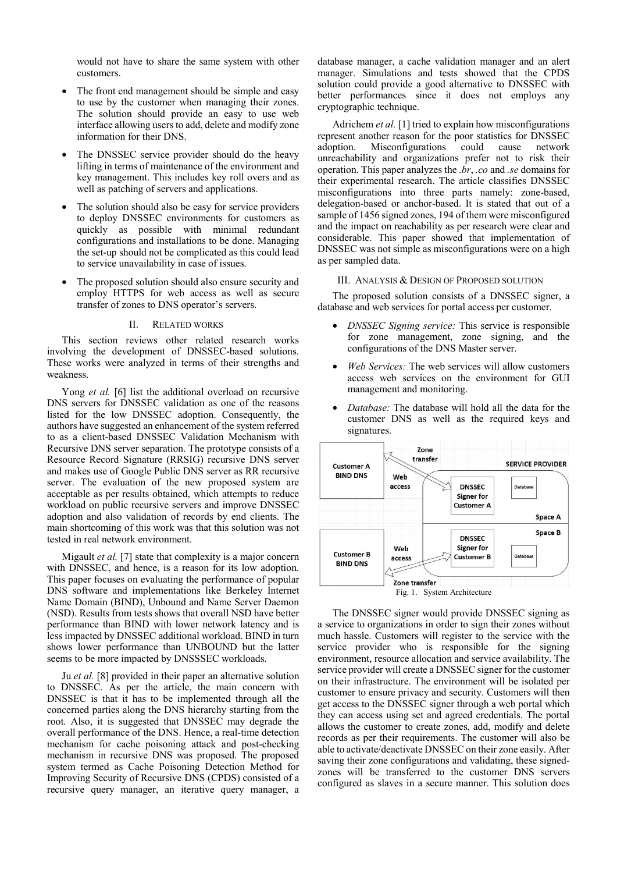would not have to share the same system with other customers.

- The front end management should be simple and easy to use by the customer when managing their zones. The solution should provide an easy to use web interface allowing users to add, delete and modify zone information for their DNS.
- The DNSSEC service provider should do the heavy lifting in terms of maintenance of the environment and key management. This includes key roll overs and as well as patching of servers and applications.
- The solution should also be easy for service providers to deploy DNSSEC environments for customers as quickly as possible with minimal redundant configurations and installations to be done. Managing the set-up should not be complicated as this could lead to service unavailability in case of issues.
- The proposed solution should also ensure security and employ HTTPS for web access as well as secure transfer of zones to DNS operator's servers.

#### II. RELATED WORKS

This section reviews other related research works involving the development of DNSSEC-based solutions. These works were analyzed in terms of their strengths and weakness.

Yong *et al.* [6] list the additional overload on recursive DNS servers for DNSSEC validation as one of the reasons listed for the low DNSSEC adoption. Consequently, the authors have suggested an enhancement of the system referred to as a client-based DNSSEC Validation Mechanism with Recursive DNS server separation. The prototype consists of a Resource Record Signature (RRSIG) recursive DNS server and makes use of Google Public DNS server as RR recursive server. The evaluation of the new proposed system are acceptable as per results obtained, which attempts to reduce workload on public recursive servers and improve DNSSEC adoption and also validation of records by end clients. The main shortcoming of this work was that this solution was not tested in real network environment.

Migault *et al.* [7] state that complexity is a major concern with DNSSEC, and hence, is a reason for its low adoption. This paper focuses on evaluating the performance of popular DNS software and implementations like Berkeley Internet Name Domain (BIND), Unbound and Name Server Daemon (NSD). Results from tests shows that overall NSD have better performance than BIND with lower network latency and is less impacted by DNSSEC additional workload. BIND in turn shows lower performance than UNBOUND but the latter seems to be more impacted by DNSSSEC workloads.

Ju *et al.* [8] provided in their paper an alternative solution to DNSSEC. As per the article, the main concern with DNSSEC is that it has to be implemented through all the concerned parties along the DNS hierarchy starting from the root. Also, it is suggested that DNSSEC may degrade the overall performance of the DNS. Hence, a real-time detection mechanism for cache poisoning attack and post-checking mechanism in recursive DNS was proposed. The proposed system termed as Cache Poisoning Detection Method for Improving Security of Recursive DNS (CPDS) consisted of a recursive query manager, an iterative query manager, a

database manager, a cache validation manager and an alert manager. Simulations and tests showed that the CPDS solution could provide a good alternative to DNSSEC with better performances since it does not employs any cryptographic technique.

Adrichem *et al.* [1] tried to explain how misconfigurations represent another reason for the poor statistics for DNSSEC adoption. Misconfigurations could cause network unreachability and organizations prefer not to risk their operation. This paper analyzes the *.br*, *.co* and *.se* domains for their experimental research. The article classifies DNSSEC misconfigurations into three parts namely: zone-based, delegation-based or anchor-based. It is stated that out of a sample of 1456 signed zones, 194 of them were misconfigured and the impact on reachability as per research were clear and considerable. This paper showed that implementation of DNSSEC was not simple as misconfigurations were on a high as per sampled data.

# III. ANALYSIS & DESIGN OF PROPOSED SOLUTION

The proposed solution consists of a DNSSEC signer, a database and web services for portal access per customer.

- *DNSSEC Signing service:* This service is responsible for zone management, zone signing, and the configurations of the DNS Master server.
- *Web Services:* The web services will allow customers access web services on the environment for GUI management and monitoring.
- *Database:* The database will hold all the data for the customer DNS as well as the required keys and signatures.



The DNSSEC signer would provide DNSSEC signing as a service to organizations in order to sign their zones without much hassle. Customers will register to the service with the service provider who is responsible for the signing environment, resource allocation and service availability. The service provider will create a DNSSEC signer for the customer on their infrastructure. The environment will be isolated per customer to ensure privacy and security. Customers will then get access to the DNSSEC signer through a web portal which they can access using set and agreed credentials. The portal allows the customer to create zones, add, modify and delete records as per their requirements. The customer will also be able to activate/deactivate DNSSEC on their zone easily. After saving their zone configurations and validating, these signedzones will be transferred to the customer DNS servers configured as slaves in a secure manner. This solution does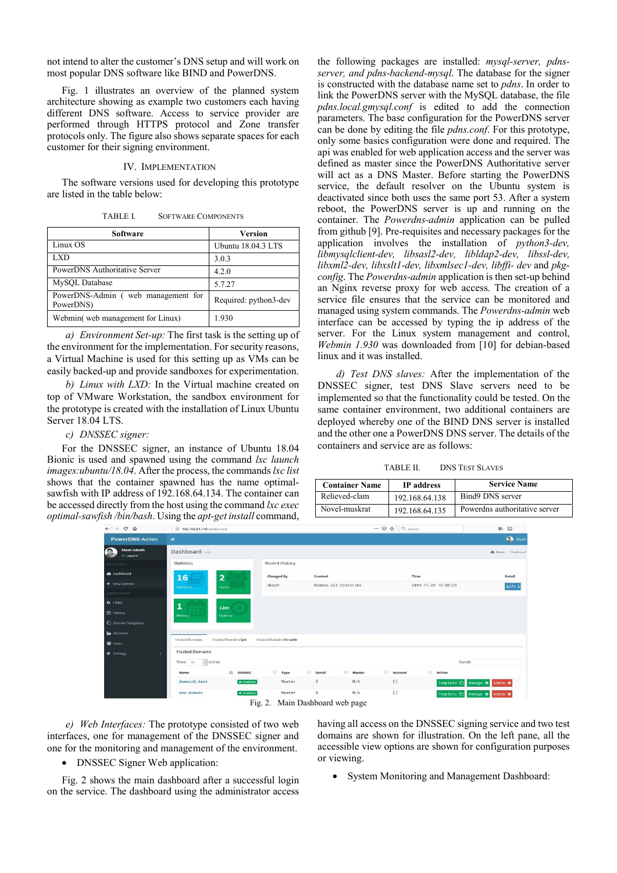not intend to alter the customer's DNS setup and will work on most popular DNS software like BIND and PowerDNS.

Fig. 1 illustrates an overview of the planned system architecture showing as example two customers each having different DNS software. Access to service provider are performed through HTTPS protocol and Zone transfer protocols only. The figure also shows separate spaces for each customer for their signing environment.

# IV. IMPLEMENTATION

The software versions used for developing this prototype are listed in the table below:

| TABLE I.<br><b>SOFTWARE COMPONENTS</b> |  |
|----------------------------------------|--|
|----------------------------------------|--|

| Software                                        | <b>Version</b>        |  |  |
|-------------------------------------------------|-----------------------|--|--|
| Linux OS                                        | Ubuntu 18.04.3 LTS    |  |  |
| LXD                                             | 3.0.3                 |  |  |
| PowerDNS Authoritative Server                   | 4.2.0                 |  |  |
| MySQL Database                                  | 5.7.27                |  |  |
| PowerDNS-Admin (web management for<br>PowerDNS) | Required: python3-dev |  |  |
| Webmin(web management for Linux)                | 1.930                 |  |  |

*a) Environment Set-up:* The first task is the setting up of the environment for the implementation. For security reasons, a Virtual Machine is used for this setting up as VMs can be easily backed-up and provide sandboxes for experimentation.

*b) Linux with LXD:* In the Virtual machine created on top of VMware Workstation, the sandbox environment for the prototype is created with the installation of Linux Ubuntu Server 18.04 LTS.

*c) DNSSEC signer:* 

For the DNSSEC signer, an instance of Ubuntu 18.04 Bionic is used and spawned using the command *lxc launch images:ubuntu/18.04*. After the process, the commands *lxc list* shows that the container spawned has the name optimalsawfish with IP address of 192.168.64.134. The container can be accessed directly from the host using the command *lxc exec optimal-sawfish /bin/bash*. Using the *apt-get install* command, the following packages are installed: *mysql-server, pdnsserver, and pdns-backend-mysql*. The database for the signer is constructed with the database name set to *pdns*. In order to link the PowerDNS server with the MySQL database, the file *pdns.local.gmysql.conf* is edited to add the connection parameters. The base configuration for the PowerDNS server can be done by editing the file *pdns.conf*. For this prototype, only some basics configuration were done and required. The api was enabled for web application access and the server was defined as master since the PowerDNS Authoritative server will act as a DNS Master. Before starting the PowerDNS service, the default resolver on the Ubuntu system is deactivated since both uses the same port 53. After a system reboot, the PowerDNS server is up and running on the container. The *Powerdns-admin* application can be pulled from github [9]. Pre-requisites and necessary packages for the application involves the installation of *python3-dev, libmysqlclient-dev, libsasl2-dev, libldap2-dev, libssl-dev, libxml2-dev, libxslt1-dev, libxmlsec1-dev, libffi- dev* and *pkgconfig*. The *Powerdns-admin* application is then set-up behind an Nginx reverse proxy for web access. The creation of a service file ensures that the service can be monitored and managed using system commands. The *Powerdns-admin* web interface can be accessed by typing the ip address of the server. For the Linux system management and control, *Webmin 1.930* was downloaded from [10] for debian-based linux and it was installed.

*d) Test DNS slaves:* After the implementation of the DNSSEC signer, test DNS Slave servers need to be implemented so that the functionality could be tested. On the same container environment, two additional containers are deployed whereby one of the BIND DNS server is installed and the other one a PowerDNS DNS server. The details of the containers and service are as follows:

| TABLE II. | <b>DNS TEST SLAVES</b> |  |
|-----------|------------------------|--|
|-----------|------------------------|--|

| <b>Container Name</b> | <b>IP</b> address | <b>Service Name</b>           |
|-----------------------|-------------------|-------------------------------|
| Relieved-clam         | 192.168.64.138    | Bind9 DNS server              |
| Novel-muskrat         | 192.168.64.135    | Powerdns authoritative server |

| $\leftarrow$ $\rightarrow$ $\alpha$ $\alpha$     | 192.168.64.140/dashboard                           |                            |                         | … ⊙ ☆ Q Search      | Ⅲ 图                                          |
|--------------------------------------------------|----------------------------------------------------|----------------------------|-------------------------|---------------------|----------------------------------------------|
| PowerDNS-Admin                                   | $=$                                                |                            |                         |                     | Akash                                        |
| Akash Adnath<br>$\bullet$<br><b>ED Logged In</b> | Dashboard Info                                     |                            |                         |                     | <sup>2</sup> Home Dashboard                  |
| <b>USER ACTIONS</b>                              | <b>Statistics</b>                                  | Recent History             |                         |                     |                                              |
| <b>@</b> Dashboard                               | $\overline{\mathbf{2}}$<br>16                      | <b>Changed By</b>          | Content                 | Time                | Detail                                       |
| + New Domain                                     | <b>Domains</b><br><b>Users</b>                     | akash                      | Remove all histories    | 2019-11-29 13:30:25 | Info i                                       |
| <b>ADMINISTRATION</b>                            |                                                    |                            |                         |                     |                                              |
| <b>O</b> PDNS                                    | 1<br>12m                                           |                            |                         |                     |                                              |
| tt History                                       | History<br>Uptime                                  |                            |                         |                     |                                              |
| <b>C</b> Domain Templates                        |                                                    |                            |                         |                     |                                              |
| <b>Le</b> Accounts                               |                                                    |                            |                         |                     |                                              |
| 警 Users                                          | <b>Hosted Domains ip6</b><br><b>Hosted Domains</b> | Hosted Domains in-addr     |                         |                     |                                              |
| <b>O</b> Settings                                | <b>Hosted Domains</b>                              |                            |                         |                     |                                              |
|                                                  | $\vee$ entries<br>Show to                          |                            |                         |                     | Search:                                      |
|                                                  | <b>JE DNSSEC</b><br>Name                           | IT Type                    | I Serial<br>计<br>Master | IT.<br>Account      | <b>Action</b>                                |
|                                                  | domain2.test                                       | Master<br><b>B</b> Enabled | 9<br>N/A                | $\lceil$            | Template in Manage <b>Φ</b> Admin <b>Φ</b>   |
|                                                  | new.domain                                         | Master<br>a Enabled        | $^{\rm 8}$<br>N/A       | $\lceil$            | Template 口<br>Manage <b>O</b> Admin <b>O</b> |
|                                                  |                                                    | $\Gamma$ ia 2              | Main Dachboard web nage |                     |                                              |

Fig. 2. Main Dashboard web page

*e) Web Interfaces:* The prototype consisted of two web interfaces, one for management of the DNSSEC signer and one for the monitoring and management of the environment.

• DNSSEC Signer Web application:

Fig. 2 shows the main dashboard after a successful login on the service. The dashboard using the administrator access

having all access on the DNSSEC signing service and two test domains are shown for illustration. On the left pane, all the accessible view options are shown for configuration purposes or viewing.

• System Monitoring and Management Dashboard: